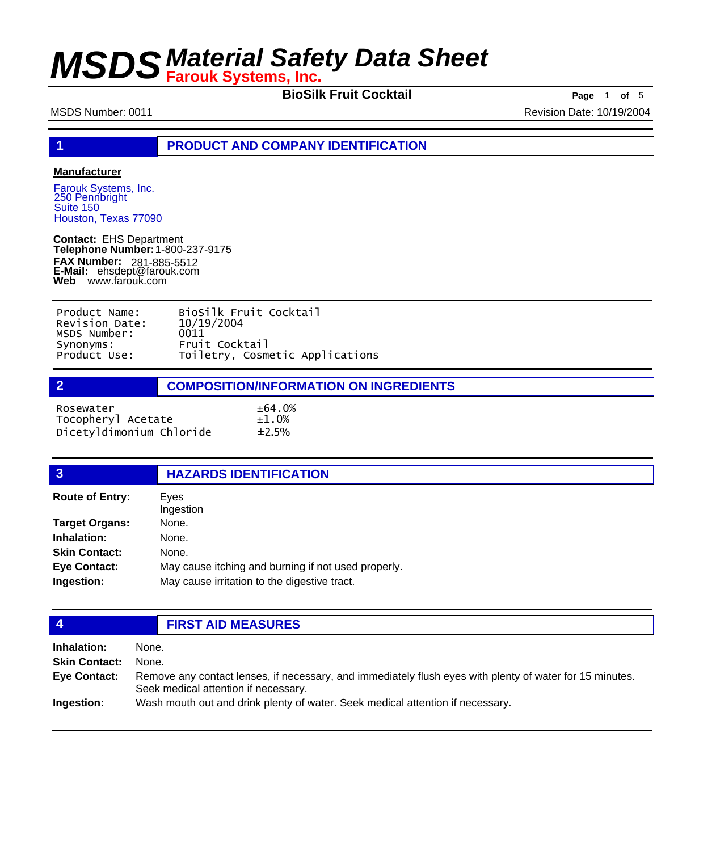**BioSilk Fruit Cocktail Page** 1 **of** 5

MSDS Number: 0011 Revision Date: 10/19/2004

**1 PRODUCT AND COMPANY IDENTIFICATION**

#### **Manufacturer**

Farouk Systems, Inc. 250 Pennbright Suite 150 Houston, Texas 77090

**Contact:** EHS Department **Telephone Number:** 1-800-237-9175 **FAX Number: FAX Number:** 281-885-5512<br>**E-Mail:** ehsdept@farouk.com **Web** www.farouk.com

| Product Name:  | BioSilk Fruit Cocktail          |
|----------------|---------------------------------|
| Revision Date: | 10/19/2004                      |
| MSDS Number:   | 0011                            |
| Synonyms:      | Fruit Cocktail                  |
| Product Use:   | Toiletry, Cosmetic Applications |

#### **2 COMPOSITION/INFORMATION ON INGREDIENTS**

 $±64.0%$  $±1.0%$  $±2.5%$ 

| Rosewater                |  |
|--------------------------|--|
| Tocopheryl Acetate       |  |
| Dicetyldimonium Chloride |  |

| 3                      | <b>HAZARDS IDENTIFICATION</b>                       |  |
|------------------------|-----------------------------------------------------|--|
| <b>Route of Entry:</b> | Eyes<br>Ingestion                                   |  |
| <b>Target Organs:</b>  | None.                                               |  |
| Inhalation:            | None.                                               |  |
| <b>Skin Contact:</b>   | None.                                               |  |
| <b>Eye Contact:</b>    | May cause itching and burning if not used properly. |  |
| Ingestion:             | May cause irritation to the digestive tract.        |  |

## **4 FIRST AID MEASURES Inhalation:** None.

| <b>Skin Contact:</b> | None.                                                                                                                                            |
|----------------------|--------------------------------------------------------------------------------------------------------------------------------------------------|
| <b>Eve Contact:</b>  | Remove any contact lenses, if necessary, and immediately flush eyes with plenty of water for 15 minutes.<br>Seek medical attention if necessary. |
| Ingestion:           | Wash mouth out and drink plenty of water. Seek medical attention if necessary.                                                                   |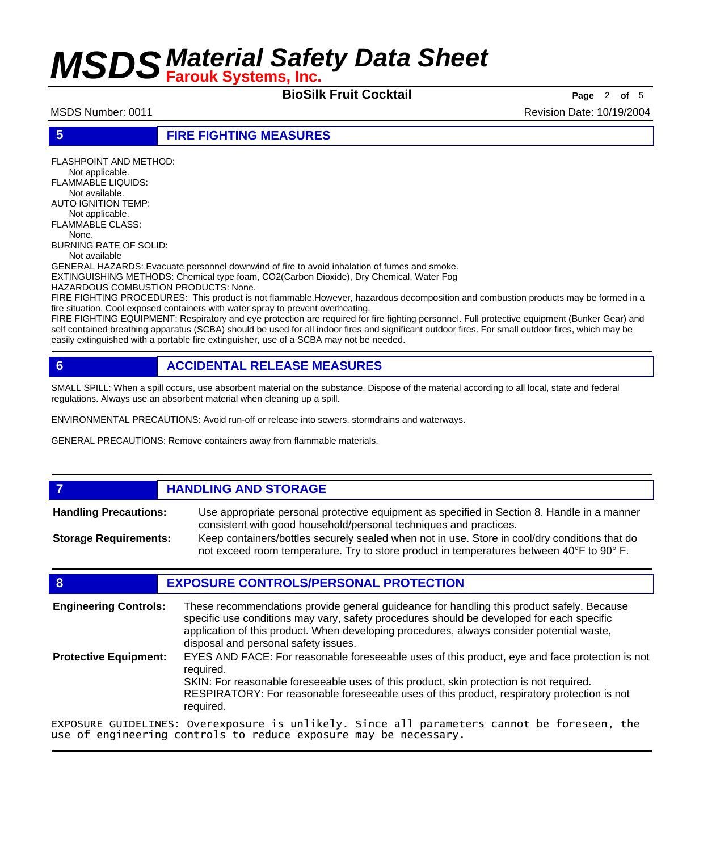**BioSilk Fruit Cocktail Page** <sup>2</sup> **of** <sup>5</sup>

MSDS Number: 0011 **Revision Date: 10/19/2004** Revision Date: 10/19/2004

**5 FIRE FIGHTING MEASURES**

FLASHPOINT AND METHOD: Not applicable. FLAMMABLE LIQUIDS: Not available. AUTO IGNITION TEMP: Not applicable. FLAMMABLE CLASS: None. BURNING RATE OF SOLID:

Not available

GENERAL HAZARDS: Evacuate personnel downwind of fire to avoid inhalation of fumes and smoke.

EXTINGUISHING METHODS: Chemical type foam, CO2(Carbon Dioxide), Dry Chemical, Water Fog

HAZARDOUS COMBUSTION PRODUCTS: None.

FIRE FIGHTING PROCEDURES: This product is not flammable.However, hazardous decomposition and combustion products may be formed in a fire situation. Cool exposed containers with water spray to prevent overheating.

FIRE FIGHTING EQUIPMENT: Respiratory and eye protection are required for fire fighting personnel. Full protective equipment (Bunker Gear) and self contained breathing apparatus (SCBA) should be used for all indoor fires and significant outdoor fires. For small outdoor fires, which may be easily extinguished with a portable fire extinguisher, use of a SCBA may not be needed.

### **6 ACCIDENTAL RELEASE MEASURES**

SMALL SPILL: When a spill occurs, use absorbent material on the substance. Dispose of the material according to all local, state and federal regulations. Always use an absorbent material when cleaning up a spill.

ENVIRONMENTAL PRECAUTIONS: Avoid run-off or release into sewers, stormdrains and waterways.

GENERAL PRECAUTIONS: Remove containers away from flammable materials.

### *HANDLING AND STORAGE*

Use appropriate personal protective equipment as specified in Section 8. Handle in a manner consistent with good household/personal techniques and practices. **Handling Precautions:** Keep containers/bottles securely sealed when not in use. Store in cool/dry conditions that do **Storage Requirements:**

not exceed room temperature. Try to store product in temperatures between 40°F to 90° F.

### **8 EXPOSURE CONTROLS/PERSONAL PROTECTION**

These recommendations provide general guideance for handling this product safely. Because specific use conditions may vary, safety procedures should be developed for each specific application of this product. When developing procedures, always consider potential waste, disposal and personal safety issues. **Engineering Controls:** EYES AND FACE: For reasonable foreseeable uses of this product, eye and face protection is not required. SKIN: For reasonable foreseeable uses of this product, skin protection is not required. RESPIRATORY: For reasonable foreseeable uses of this product, respiratory protection is not required. **Protective Equipment:** EXPOSURE GUIDELINES: Overexposure is unlikely. Since all parameters cannot be foreseen, the

use of engineering controls to reduce exposure may be necessary.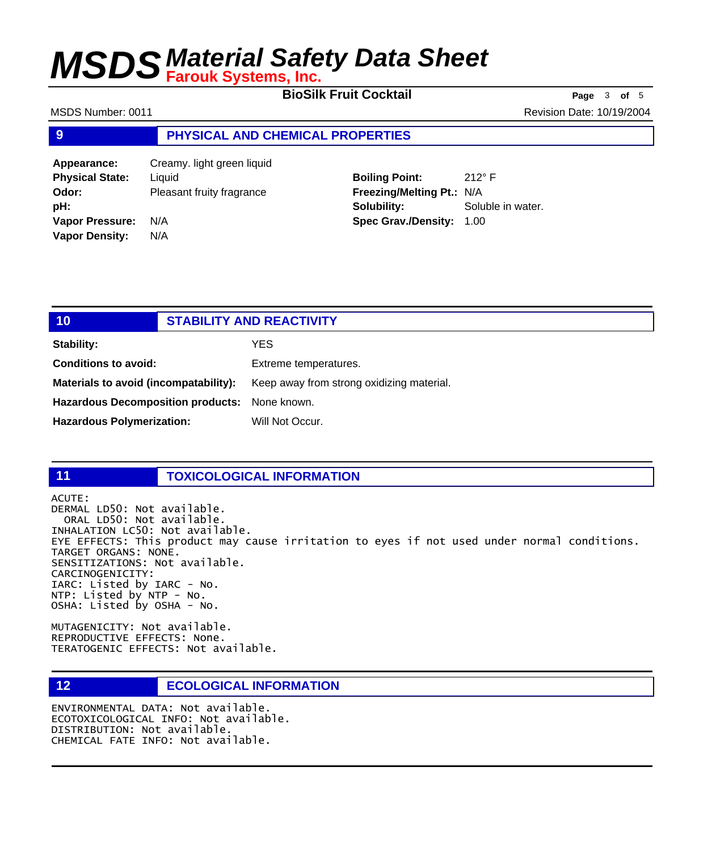**BioSilk Fruit Cocktail Page** <sup>3</sup> **of** <sup>5</sup>

MSDS Number: 0011 **Revision Date: 10/19/2004** Revision Date: 10/19/2004

#### **9 PHYSICAL AND CHEMICAL PROPERTIES**

**Appearance:** Creamy. light green liquid **Physical State:** Liquid **Odor:** Pleasant fruity fragrance **pH: Vapor Pressure:** N/A **Vapor Density:** N/A

**Boiling Point:** 212° F **Freezing/Melting Pt.:** N/A **Solubility:** Soluble in water. **Spec Grav./Density:** 1.00

| 10                                            | <b>STABILITY AND REACTIVITY</b> |                                           |
|-----------------------------------------------|---------------------------------|-------------------------------------------|
| Stability:                                    |                                 | YES                                       |
| <b>Conditions to avoid:</b>                   |                                 | Extreme temperatures.                     |
| Materials to avoid (incompatability):         |                                 | Keep away from strong oxidizing material. |
| Hazardous Decomposition products: None known. |                                 |                                           |
| <b>Hazardous Polymerization:</b>              |                                 | Will Not Occur.                           |

#### **11 TOXICOLOGICAL INFORMATION**

ACUTE: DERMAL LD50: Not available. ORAL LD50: Not available. INHALATION LC50: Not available. EYE EFFECTS: This product may cause irritation to eyes if not used under normal conditions. TARGET ORGANS: NONE. SENSITIZATIONS: Not available. CARCINOGENICITY: IARC: Listed by IARC - No. NTP: Listed by NTP - No. OSHA: Listed by OSHA - No.

MUTAGENICITY: Not available. REPRODUCTIVE EFFECTS: None. TERATOGENIC EFFECTS: Not available.

### **12 ECOLOGICAL INFORMATION**

ENVIRONMENTAL DATA: Not available. ECOTOXICOLOGICAL INFO: Not available. DISTRIBUTION: Not available. CHEMICAL FATE INFO: Not available.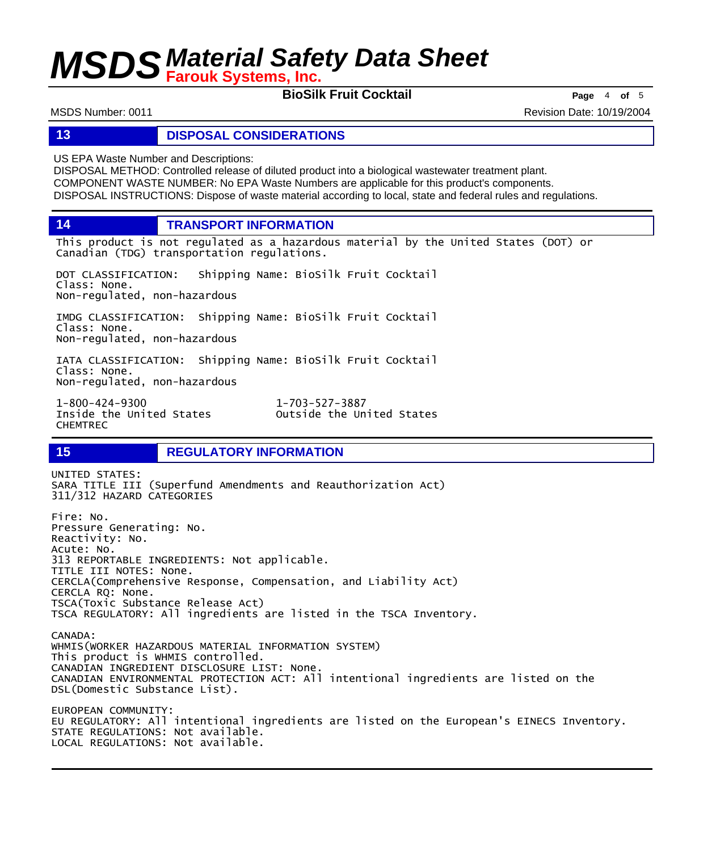**BioSilk Fruit Cocktail Page** <sup>4</sup> **of** <sup>5</sup>

MSDS Number: 0011 **Revision Date: 10/19/2004** Revision Date: 10/19/2004

#### **13 DISPOSAL CONSIDERATIONS**

US EPA Waste Number and Descriptions:

DISPOSAL METHOD: Controlled release of diluted product into a biological wastewater treatment plant. COMPONENT WASTE NUMBER: No EPA Waste Numbers are applicable for this product's components. DISPOSAL INSTRUCTIONS: Dispose of waste material according to local, state and federal rules and regulations.

**14 TRANSPORT INFORMATION**

This product is not regulated as a hazardous material by the United States (DOT) or Canadian (TDG) transportation regulations.

DOT CLASSIFICATION: Shipping Name: BioSilk Fruit Cocktail Class: None. Non-regulated, non-hazardous

IMDG CLASSIFICATION: Shipping Name: BioSilk Fruit Cocktail Class: None. Non-regulated, non-hazardous

IATA CLASSIFICATION: Shipping Name: BioSilk Fruit Cocktail Class: None. Non-regulated, non-hazardous

1-800-424-9300 1-703-527-3887 CHEMTREC

Outside the United States

#### **15 REGULATORY INFORMATION**

UNITED STATES: SARA TITLE III (Superfund Amendments and Reauthorization Act) 311/312 HAZARD CATEGORIES Fire: No. Pressure Generating: No. Reactivity: No. Acute: No. 313 REPORTABLE INGREDIENTS: Not applicable. TITLE III NOTES: None. CERCLA(Comprehensive Response, Compensation, and Liability Act) CERCLA RQ: None. TSCA(Toxic Substance Release Act) TSCA REGULATORY: All ingredients are listed in the TSCA Inventory. CANADA: WHMIS(WORKER HAZARDOUS MATERIAL INFORMATION SYSTEM) This product is WHMIS controlled. CANADIAN INGREDIENT DISCLOSURE LIST: None. CANADIAN ENVIRONMENTAL PROTECTION ACT: All intentional ingredients are listed on the DSL(Domestic Substance List). EUROPEAN COMMUNITY: EU REGULATORY: All intentional ingredients are listed on the European's EINECS Inventory. STATE REGULATIONS: Not available. LOCAL REGULATIONS: Not available.